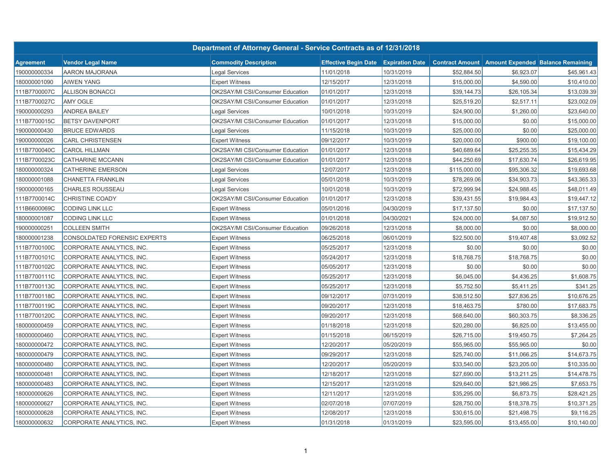|                  |                              | Department of Attorney General - Service Contracts as of 12/31/2018 |                                             |            |                        |             |                                          |
|------------------|------------------------------|---------------------------------------------------------------------|---------------------------------------------|------------|------------------------|-------------|------------------------------------------|
| <b>Agreement</b> | <b>Vendor Legal Name</b>     | <b>Commodity Description</b>                                        | <b>Effective Begin Date Expiration Date</b> |            | <b>Contract Amount</b> |             | <b>Amount Expended Balance Remaining</b> |
| 190000000334     | AARON MAJORANA               | Legal Services                                                      | 11/01/2018                                  | 10/31/2019 | \$52,884.50            | \$6,923.07  | \$45,961.43                              |
| 180000001090     | AIWEN YANG                   | <b>Expert Witness</b>                                               | 12/15/2017                                  | 12/31/2018 | \$15,000.00            | \$4,590.00  | \$10,410.00                              |
| 111B7700007C     | <b>ALLISON BONACCI</b>       | OK2SAY/MI CSI/Consumer Education                                    | 01/01/2017                                  | 12/31/2018 | \$39,144.73            | \$26,105.34 | \$13,039.39                              |
| 111B7700027C     | <b>AMY OGLE</b>              | OK2SAY/MI CSI/Consumer Education                                    | 01/01/2017                                  | 12/31/2018 | \$25,519.20            | \$2,517.11  | \$23,002.09                              |
| 190000000293     | <b>ANDREA BAILEY</b>         | <b>Legal Services</b>                                               | 10/01/2018                                  | 10/31/2019 | \$24,900.00            | \$1,260.00  | \$23,640.00                              |
| 111B7700015C     | <b>BETSY DAVENPORT</b>       | OK2SAY/MI CSI/Consumer Education                                    | 01/01/2017                                  | 12/31/2018 | \$15,000.00            | \$0.00      | \$15,000.00                              |
| 190000000430     | <b>BRUCE EDWARDS</b>         | <b>Legal Services</b>                                               | 11/15/2018                                  | 10/31/2019 | \$25,000.00            | \$0.00      | \$25,000.00                              |
| 190000000026     | <b>CARL CHRISTENSEN</b>      | <b>Expert Witness</b>                                               | 09/12/2017                                  | 10/31/2019 | \$20,000.00            | \$900.00    | \$19,100.00                              |
| 111B7700040C     | <b>CAROL HILLMAN</b>         | OK2SAY/MI CSI/Consumer Education                                    | 01/01/2017                                  | 12/31/2018 | \$40,689.64            | \$25,255.35 | \$15,434.29                              |
| 111B7700023C     | CATHARINE MCCANN             | OK2SAY/MI CSI/Consumer Education                                    | 01/01/2017                                  | 12/31/2018 | \$44,250.69            | \$17,630.74 | \$26,619.95                              |
| 180000000324     | CATHERINE EMERSON            | Legal Services                                                      | 12/07/2017                                  | 12/31/2018 | \$115,000.00           | \$95,306.32 | \$19,693.68                              |
| 180000001088     | CHANETTA FRANKLIN            | <b>Legal Services</b>                                               | 05/01/2018                                  | 10/31/2019 | \$78,269.06            | \$34,903.73 | \$43,365.33                              |
| 190000000165     | <b>CHARLES ROUSSEAU</b>      | <b>Legal Services</b>                                               | 10/01/2018                                  | 10/31/2019 | \$72,999.94            | \$24,988.45 | \$48,011.49                              |
| 111B7700014C     | CHRISTINE COADY              | OK2SAY/MI CSI/Consumer Education                                    | 01/01/2017                                  | 12/31/2018 | \$39,431.55            | \$19,984.43 | \$19,447.12                              |
| 111B6600069C     | CODING LINK LLC              | <b>Expert Witness</b>                                               | 05/01/2016                                  | 04/30/2019 | \$17,137.50            | \$0.00      | \$17,137.50                              |
| 180000001087     | CODING LINK LLC              | <b>Expert Witness</b>                                               | 01/01/2018                                  | 04/30/2021 | \$24,000.00            | \$4,087.50  | \$19,912.50                              |
| 190000000251     | <b>COLLEEN SMITH</b>         | OK2SAY/MI CSI/Consumer Education                                    | 09/26/2018                                  | 12/31/2018 | \$8,000.00             | \$0.00      | \$8,000.00                               |
| 180000001238     | CONSOLDATED FORENSIC EXPERTS | <b>Expert Witness</b>                                               | 06/25/2018                                  | 06/01/2019 | \$22,500.00            | \$19,407.48 | \$3,092.52                               |
| 111B7700100C     | CORPORATE ANALYTICS, INC.    | <b>Expert Witness</b>                                               | 05/25/2017                                  | 12/31/2018 | \$0.00                 | \$0.00      | \$0.00                                   |
| 111B7700101C     | CORPORATE ANALYTICS, INC.    | <b>Expert Witness</b>                                               | 05/24/2017                                  | 12/31/2018 | \$18,768.75            | \$18,768.75 | \$0.00                                   |
| 111B7700102C     | CORPORATE ANALYTICS, INC.    | <b>Expert Witness</b>                                               | 05/05/2017                                  | 12/31/2018 | \$0.00                 | \$0.00      | \$0.00                                   |
| 111B7700111C     | CORPORATE ANALYTICS, INC.    | <b>Expert Witness</b>                                               | 05/25/2017                                  | 12/31/2018 | \$6,045.00             | \$4,436.25  | \$1,608.75                               |
| 111B7700113C     | CORPORATE ANALYTICS, INC.    | <b>Expert Witness</b>                                               | 05/25/2017                                  | 12/31/2018 | \$5,752.50             | \$5,411.25  | \$341.25                                 |
| 111B7700118C     | CORPORATE ANALYTICS, INC.    | <b>Expert Witness</b>                                               | 09/12/2017                                  | 07/31/2019 | \$38,512.50            | \$27,836.25 | \$10,676.25                              |
| 111B7700119C     | CORPORATE ANALYTICS, INC.    | <b>Expert Witness</b>                                               | 09/20/2017                                  | 12/31/2018 | \$18,463.75            | \$780.00    | \$17,683.75                              |
| 111B7700120C     | CORPORATE ANALYTICS, INC.    | <b>Expert Witness</b>                                               | 09/20/2017                                  | 12/31/2018 | \$68,640.00            | \$60,303.75 | \$8,336.25                               |
| 180000000459     | CORPORATE ANALYTICS, INC.    | <b>Expert Witness</b>                                               | 01/18/2018                                  | 12/31/2018 | \$20,280.00            | \$6,825.00  | \$13,455.00                              |
| 180000000460     | CORPORATE ANALYTICS, INC.    | <b>Expert Witness</b>                                               | 01/15/2018                                  | 06/15/2019 | \$26,715.00            | \$19,450.75 | \$7,264.25                               |
| 180000000472     | CORPORATE ANALYTICS, INC.    | <b>Expert Witness</b>                                               | 12/20/2017                                  | 05/20/2019 | \$55,965.00            | \$55,965.00 | \$0.00                                   |
| 180000000479     | CORPORATE ANALYTICS, INC.    | <b>Expert Witness</b>                                               | 09/29/2017                                  | 12/31/2018 | \$25,740.00            | \$11,066.25 | \$14,673.75                              |
| 180000000480     | CORPORATE ANALYTICS, INC.    | <b>Expert Witness</b>                                               | 12/20/2017                                  | 05/20/2019 | \$33,540.00            | \$23,205.00 | \$10,335.00                              |
| 180000000481     | CORPORATE ANALYTICS, INC.    | <b>Expert Witness</b>                                               | 12/18/2017                                  | 12/31/2018 | \$27,690.00            | \$13,211.25 | \$14,478.75                              |
| 180000000483     | CORPORATE ANALYTICS, INC.    | <b>Expert Witness</b>                                               | 12/15/2017                                  | 12/31/2018 | \$29,640.00            | \$21,986.25 | \$7,653.75                               |
| 180000000626     | CORPORATE ANALYTICS, INC.    | <b>Expert Witness</b>                                               | 12/11/2017                                  | 12/31/2018 | \$35,295.00            | \$6,873.75  | \$28,421.25                              |
| 180000000627     | CORPORATE ANALYTICS, INC.    | <b>Expert Witness</b>                                               | 02/07/2018                                  | 07/07/2019 | \$28,750.00            | \$18,378.75 | \$10,371.25                              |
| 180000000628     | CORPORATE ANALYTICS, INC.    | <b>Expert Witness</b>                                               | 12/08/2017                                  | 12/31/2018 | \$30,615.00            | \$21,498.75 | \$9,116.25                               |
| 180000000632     | CORPORATE ANALYTICS, INC.    | <b>Expert Witness</b>                                               | 01/31/2018                                  | 01/31/2019 | \$23,595.00            | \$13,455.00 | \$10,140.00                              |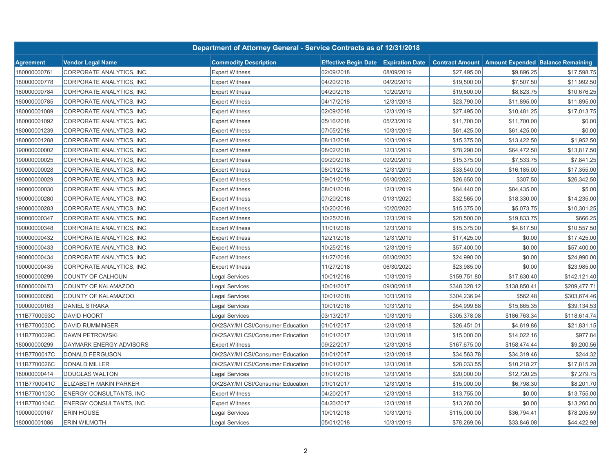|                  |                                | Department of Attorney General - Service Contracts as of 12/31/2018 |                                             |            |                        |              |                                          |
|------------------|--------------------------------|---------------------------------------------------------------------|---------------------------------------------|------------|------------------------|--------------|------------------------------------------|
| <b>Agreement</b> | <b>Vendor Legal Name</b>       | <b>Commodity Description</b>                                        | <b>Effective Begin Date Expiration Date</b> |            | <b>Contract Amount</b> |              | <b>Amount Expended Balance Remaining</b> |
| 180000000761     | CORPORATE ANALYTICS, INC.      | <b>Expert Witness</b>                                               | 02/09/2018                                  | 08/09/2019 | \$27,495.00            | \$9,896.25   | \$17,598.75                              |
| 180000000778     | CORPORATE ANALYTICS, INC.      | <b>Expert Witness</b>                                               | 04/20/2018                                  | 04/20/2019 | \$19,500.00            | \$7,507.50   | \$11,992.50                              |
| 180000000784     | CORPORATE ANALYTICS, INC.      | <b>Expert Witness</b>                                               | 04/20/2018                                  | 10/20/2019 | \$19,500.00            | \$8,823.75   | \$10,676.25                              |
| 180000000785     | CORPORATE ANALYTICS, INC.      | <b>Expert Witness</b>                                               | 04/17/2018                                  | 12/31/2018 | \$23,790.00            | \$11,895.00  | \$11,895.00                              |
| 180000001089     | CORPORATE ANALYTICS, INC.      | <b>Expert Witness</b>                                               | 02/09/2018                                  | 12/31/2019 | \$27,495.00            | \$10,481.25  | \$17,013.75                              |
| 180000001092     | CORPORATE ANALYTICS, INC.      | <b>Expert Witness</b>                                               | 05/16/2018                                  | 05/23/2019 | \$11,700.00            | \$11,700.00  | \$0.00                                   |
| 180000001239     | CORPORATE ANALYTICS, INC.      | <b>Expert Witness</b>                                               | 07/05/2018                                  | 10/31/2019 | \$61,425.00            | \$61,425.00  | \$0.00                                   |
| 180000001288     | CORPORATE ANALYTICS, INC       | <b>Expert Witness</b>                                               | 08/13/2018                                  | 10/31/2019 | \$15,375.00            | \$13,422.50  | \$1,952.50                               |
| 190000000002     | CORPORATE ANALYTICS, INC       | <b>Expert Witness</b>                                               | 08/02/2018                                  | 12/31/2019 | \$78,290.00            | \$64,472.50  | \$13,817.50                              |
| 190000000025     | CORPORATE ANALYTICS, INC       | <b>Expert Witness</b>                                               | 09/20/2018                                  | 09/20/2019 | \$15,375.00            | \$7,533.75   | \$7,841.25                               |
| 190000000028     | CORPORATE ANALYTICS, INC       | <b>Expert Witness</b>                                               | 08/01/2018                                  | 12/31/2019 | \$33,540.00            | \$16,185.00  | \$17,355.00                              |
| 190000000029     | CORPORATE ANALYTICS, INC       | <b>Expert Witness</b>                                               | 09/01/2018                                  | 06/30/2020 | \$26,650.00            | \$307.50     | \$26,342.50                              |
| 190000000030     | CORPORATE ANALYTICS, INC       | <b>Expert Witness</b>                                               | 08/01/2018                                  | 12/31/2019 | \$84,440.00            | \$84,435.00  | \$5.00                                   |
| 190000000280     | CORPORATE ANALYTICS, INC       | <b>Expert Witness</b>                                               | 07/20/2018                                  | 01/31/2020 | \$32,565.00            | \$18,330.00  | \$14,235.00                              |
| 190000000283     | CORPORATE ANALYTICS, INC       | <b>Expert Witness</b>                                               | 10/20/2018                                  | 10/20/2020 | \$15,375.00            | \$5,073.75   | \$10,301.25                              |
| 190000000347     | CORPORATE ANALYTICS, INC       | <b>Expert Witness</b>                                               | 10/25/2018                                  | 12/31/2019 | \$20,500.00            | \$19,833.75  | \$666.25                                 |
| 190000000348     | CORPORATE ANALYTICS, INC       | <b>Expert Witness</b>                                               | 11/01/2018                                  | 12/31/2019 | \$15,375.00            | \$4,817.50   | \$10,557.50                              |
| 190000000432     | CORPORATE ANALYTICS, INC.      | <b>Expert Witness</b>                                               | 12/21/2018                                  | 12/31/2019 | \$17,425.00            | \$0.00       | \$17,425.00                              |
| 190000000433     | CORPORATE ANALYTICS, INC.      | <b>Expert Witness</b>                                               | 10/25/2018                                  | 12/31/2019 | \$57,400.00            | \$0.00       | \$57,400.00                              |
| 190000000434     | CORPORATE ANALYTICS, INC.      | <b>Expert Witness</b>                                               | 11/27/2018                                  | 06/30/2020 | \$24,990.00            | \$0.00       | \$24,990.00                              |
| 190000000435     | CORPORATE ANALYTICS, INC       | <b>Expert Witness</b>                                               | 11/27/2018                                  | 06/30/2020 | \$23,985.00            | \$0.00       | \$23,985.00                              |
| 190000000299     | COUNTY OF CALHOUN              | Legal Services                                                      | 10/01/2018                                  | 10/31/2019 | \$159,751.80           | \$17,630.40  | \$142,121.40                             |
| 180000000473     | COUNTY OF KALAMAZOO            | <b>Legal Services</b>                                               | 10/01/2017                                  | 09/30/2018 | \$348,328.12           | \$138,850.41 | \$209,477.71                             |
| 190000000350     | COUNTY OF KALAMAZOO            | Legal Services                                                      | 10/01/2018                                  | 10/31/2019 | \$304,236.94           | \$562.48     | \$303,674.46                             |
| 190000000163     | <b>DANIEL STRAKA</b>           | Legal Services                                                      | 10/01/2018                                  | 10/31/2019 | \$54,999.88            | \$15,865.35  | \$39,134.53                              |
| 111B7700093C     | <b>DAVID HOORT</b>             | Legal Services                                                      | 03/13/2017                                  | 10/31/2019 | \$305,378.08           | \$186,763.34 | \$118,614.74                             |
| 111B7700030C     | <b>DAVID RUMMINGER</b>         | OK2SAY/MI CSI/Consumer Education                                    | 01/01/2017                                  | 12/31/2018 | \$26,451.01            | \$4,619.86   | \$21,831.15                              |
| 111B7700029C     | <b>DAWN PETROWSKI</b>          | OK2SAY/MI CSI/Consumer Education                                    | 01/01/2017                                  | 12/31/2018 | \$15,000.00            | \$14,022.16  | \$977.84                                 |
| 180000000299     | DAYMARK ENERGY ADVISORS        | <b>Expert Witness</b>                                               | 09/22/2017                                  | 12/31/2018 | \$167,675.00           | \$158,474.44 | \$9,200.56                               |
| 111B7700017C     | DONALD FERGUSON                | OK2SAY/MI CSI/Consumer Education                                    | 01/01/2017                                  | 12/31/2018 | \$34,563.78            | \$34,319.46  | \$244.32                                 |
| 111B7700026C     | <b>DONALD MILLER</b>           | OK2SAY/MI CSI/Consumer Education                                    | 01/01/2017                                  | 12/31/2018 | \$28,033.55            | \$10,218.27  | \$17,815.28                              |
| 180000000414     | <b>DOUGLAS WALTON</b>          | Legal Services                                                      | 01/01/2018                                  | 12/31/2018 | \$20,000.00            | \$12,720.25  | \$7,279.75                               |
| 111B7700041C     | <b>ELIZABETH MAKIN PARKER</b>  | OK2SAY/MI CSI/Consumer Education                                    | 01/01/2017                                  | 12/31/2018 | \$15,000.00            | \$6,798.30   | \$8,201.70                               |
| 111B7700103C     | <b>ENERGY CONSULTANTS, INC</b> | <b>Expert Witness</b>                                               | 04/20/2017                                  | 12/31/2018 | \$13,755.00            | \$0.00       | \$13,755.00                              |
| 111B7700104C     | <b>ENERGY CONSULTANTS, INC</b> | <b>Expert Witness</b>                                               | 04/20/2017                                  | 12/31/2018 | \$13,260.00            | \$0.00       | \$13,260.00                              |
| 190000000167     | <b>ERIN HOUSE</b>              | Legal Services                                                      | 10/01/2018                                  | 10/31/2019 | \$115,000.00           | \$36,794.41  | \$78,205.59                              |
| 180000001086     | <b>ERIN WILMOTH</b>            | Legal Services                                                      | 05/01/2018                                  | 10/31/2019 | \$78,269.06            | \$33,846.08  | \$44,422.98                              |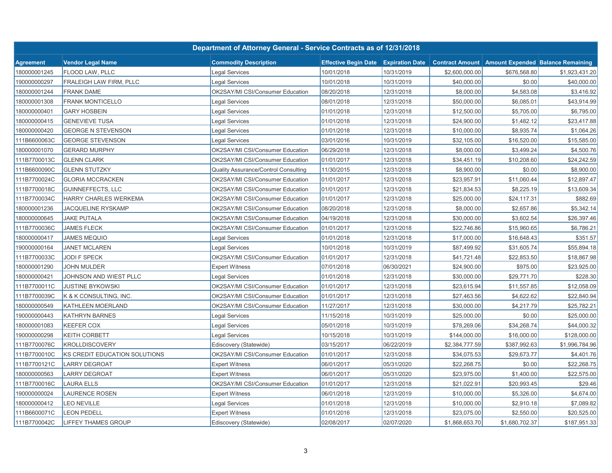|                  |                               | Department of Attorney General - Service Contracts as of 12/31/2018 |                                             |            |                        |                |                                          |
|------------------|-------------------------------|---------------------------------------------------------------------|---------------------------------------------|------------|------------------------|----------------|------------------------------------------|
| <b>Agreement</b> | <b>Vendor Legal Name</b>      | <b>Commodity Description</b>                                        | <b>Effective Begin Date Expiration Date</b> |            | <b>Contract Amount</b> |                | <b>Amount Expended Balance Remaining</b> |
| 180000001245     | FLOOD LAW, PLLC               | Legal Services                                                      | 10/01/2018                                  | 10/31/2019 | \$2,600,000.00         | \$676,568.80   | \$1,923,431.20                           |
| 190000000297     | FRALEIGH LAW FIRM, PLLC       | Legal Services                                                      | 10/01/2018                                  | 10/31/2019 | \$40,000.00            | \$0.00         | \$40,000.00                              |
| 180000001244     | <b>FRANK DAME</b>             | OK2SAY/MI CSI/Consumer Education                                    | 08/20/2018                                  | 12/31/2018 | \$8,000.00             | \$4,583.08     | \$3,416.92                               |
| 180000001308     | <b>FRANK MONTICELLO</b>       | Legal Services                                                      | 08/01/2018                                  | 12/31/2018 | \$50,000.00            | \$6,085.01     | \$43,914.99                              |
| 180000000401     | <b>GARY HOSBEIN</b>           | <b>Legal Services</b>                                               | 01/01/2018                                  | 12/31/2018 | \$12,500.00            | \$5,705.00     | \$6,795.00                               |
| 180000000415     | <b>GENEVIEVE TUSA</b>         | <b>Legal Services</b>                                               | 01/01/2018                                  | 12/31/2018 | \$24,900.00            | \$1,482.12     | \$23,417.88                              |
| 180000000420     | <b>GEORGE N STEVENSON</b>     | Legal Services                                                      | 01/01/2018                                  | 12/31/2018 | \$10,000.00            | \$8,935.74     | \$1,064.26                               |
| 111B6600063C     | <b>GEORGE STEVENSON</b>       | <b>Legal Services</b>                                               | 03/01/2016                                  | 10/31/2019 | \$32,105.00            | \$16,520.00    | \$15,585.00                              |
| 180000001070     | <b>GERARD MURPHY</b>          | OK2SAY/MI CSI/Consumer Education                                    | 06/29/2018                                  | 12/31/2018 | \$8,000.00             | \$3,499.24     | \$4,500.76                               |
| 111B7700013C     | <b>GLENN CLARK</b>            | OK2SAY/MI CSI/Consumer Education                                    | 01/01/2017                                  | 12/31/2018 | \$34,451.19            | \$10,208.60    | \$24,242.59                              |
| 111B6600090C     | <b>GLENN STUTZKY</b>          | Quality Assurance/Control Consulting                                | 11/30/2015                                  | 12/31/2018 | \$8,900.00             | \$0.00         | \$8,900.00                               |
| 111B7700024C     | <b>GLORIA MCCRACKEN</b>       | OK2SAY/MI CSI/Consumer Education                                    | 01/01/2017                                  | 12/31/2018 | \$23,957.91            | \$11,060.44    | \$12,897.47                              |
| 111B7700018C     | GUINNEFFECTS, LLC             | OK2SAY/MI CSI/Consumer Education                                    | 01/01/2017                                  | 12/31/2018 | \$21,834.53            | \$8,225.19     | \$13,609.34                              |
| 111B7700034C     | HARRY CHARLES WERKEMA         | OK2SAY/MI CSI/Consumer Education                                    | 01/01/2017                                  | 12/31/2018 | \$25,000.00            | \$24,117.31    | \$882.69                                 |
| 180000001236     | <b>JACQUELINE RYSKAMP</b>     | OK2SAY/MI CSI/Consumer Education                                    | 08/20/2018                                  | 12/31/2018 | \$8,000.00             | \$2,657.86     | \$5,342.14                               |
| 180000000645     | <b>JAKE PUTALA</b>            | OK2SAY/MI CSI/Consumer Education                                    | 04/19/2018                                  | 12/31/2018 | \$30,000.00            | \$3,602.54     | \$26,397.46                              |
| 111B7700036C     | <b>JAMES FLECK</b>            | <b>OK2SAY/MI CSI/Consumer Education</b>                             | 01/01/2017                                  | 12/31/2018 | \$22,746.86            | \$15,960.65    | \$6,786.21                               |
| 180000000417     | <b>JAMES MEQUIO</b>           | Legal Services                                                      | 01/01/2018                                  | 12/31/2018 | \$17,000.00            | \$16,648.43    | \$351.57                                 |
| 190000000164     | <b>JANET MCLAREN</b>          | Legal Services                                                      | 10/01/2018                                  | 10/31/2019 | \$87,499.92            | \$31,605.74    | \$55,894.18                              |
| 111B7700033C     | JODI F SPECK                  | OK2SAY/MI CSI/Consumer Education                                    | 01/01/2017                                  | 12/31/2018 | \$41,721.48            | \$22,853.50    | \$18,867.98                              |
| 180000001290     | <b>JOHN MULDER</b>            | <b>Expert Witness</b>                                               | 07/01/2018                                  | 06/30/2021 | \$24,900.00            | \$975.00       | \$23,925.00                              |
| 180000000421     | JOHNSON AND WIEST PLLC        | <b>Legal Services</b>                                               | 01/01/2018                                  | 12/31/2018 | \$30,000.00            | \$29,771.70    | \$228.30                                 |
| 111B7700011C     | <b>JUSTINE BYKOWSKI</b>       | OK2SAY/MI CSI/Consumer Education                                    | 01/01/2017                                  | 12/31/2018 | \$23,615.94            | \$11,557.85    | \$12,058.09                              |
| 111B7700039C     | K & K CONSULTING, INC.        | OK2SAY/MI CSI/Consumer Education                                    | 01/01/2017                                  | 12/31/2018 | \$27,463.56            | \$4,622.62     | \$22,840.94                              |
| 180000000549     | KATHLEEN MOERLAND             | OK2SAY/MI CSI/Consumer Education                                    | 11/27/2017                                  | 12/31/2018 | \$30,000.00            | \$4,217.79     | \$25,782.21                              |
| 190000000443     | KATHRYN BARNES                | <b>Legal Services</b>                                               | 11/15/2018                                  | 10/31/2019 | \$25,000.00            | \$0.00         | \$25,000.00                              |
| 180000001083     | <b>KEEFER COX</b>             | Legal Services                                                      | 05/01/2018                                  | 10/31/2019 | \$78,269.06            | \$34,268.74    | \$44,000.32                              |
| 190000000298     | <b>KEITH CORBETT</b>          | Legal Services                                                      | 10/15/2018                                  | 10/31/2019 | \$144,000.00           | \$16,000.00    | \$128,000.00                             |
| 111B7700076C     | <b>KROLLDISCOVERY</b>         | Ediscovery (Statewide)                                              | 03/15/2017                                  | 06/22/2019 | \$2,384,777.59         | \$387,992.63   | \$1,996,784.96                           |
| 111B7700010C     | KS CREDIT EDUCATION SOLUTIONS | OK2SAY/MI CSI/Consumer Education                                    | 01/01/2017                                  | 12/31/2018 | \$34,075.53            | \$29,673.77    | \$4,401.76                               |
| 111B7700121C     | <b>LARRY DEGROAT</b>          | <b>Expert Witness</b>                                               | 06/01/2017                                  | 05/31/2020 | \$22,268.75            | \$0.00         | \$22,268.75                              |
| 180000000563     | <b>LARRY DEGROAT</b>          | <b>Expert Witness</b>                                               | 06/01/2017                                  | 05/31/2020 | \$23,975.00            | \$1,400.00     | \$22,575.00                              |
| 111B7700016C     | <b>LAURA ELLS</b>             | OK2SAY/MI CSI/Consumer Education                                    | 01/01/2017                                  | 12/31/2018 | \$21,022.91            | \$20,993.45    | \$29.46                                  |
| 190000000024     | <b>LAURENCE ROSEN</b>         | <b>Expert Witness</b>                                               | 06/01/2018                                  | 12/31/2019 | \$10,000.00            | \$5,326.00     | \$4,674.00                               |
| 180000000412     | <b>LEO NEVILLE</b>            | Legal Services                                                      | 01/01/2018                                  | 12/31/2018 | \$10,000.00            | \$2,910.18     | \$7,089.82                               |
| 111B6600071C     | <b>LEON PEDELL</b>            | <b>Expert Witness</b>                                               | 01/01/2016                                  | 12/31/2018 | \$23,075.00            | \$2,550.00     | \$20,525.00                              |
| 111B7700042C     | <b>LIFFEY THAMES GROUP</b>    | Ediscovery (Statewide)                                              | 02/08/2017                                  | 02/07/2020 | \$1,868,653.70         | \$1,680,702.37 | \$187,951.33                             |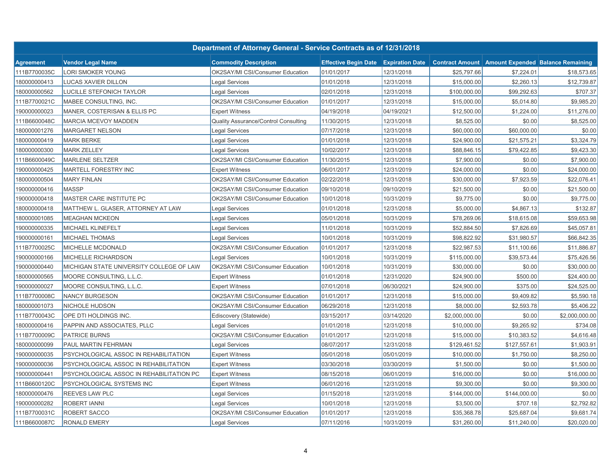|                  |                                          | Department of Attorney General - Service Contracts as of 12/31/2018 |                                             |            |                        |              |                                          |
|------------------|------------------------------------------|---------------------------------------------------------------------|---------------------------------------------|------------|------------------------|--------------|------------------------------------------|
| <b>Agreement</b> | <b>Vendor Legal Name</b>                 | <b>Commodity Description</b>                                        | <b>Effective Begin Date Expiration Date</b> |            | <b>Contract Amount</b> |              | <b>Amount Expended Balance Remaining</b> |
| 111B7700035C     | LORI SMOKER YOUNG                        | OK2SAY/MI CSI/Consumer Education                                    | 01/01/2017                                  | 12/31/2018 | \$25,797.66            | \$7,224.01   | \$18,573.65                              |
| 180000000413     | LUCAS XAVIER DILLON                      | Legal Services                                                      | 01/01/2018                                  | 12/31/2018 | \$15,000.00            | \$2,260.13   | \$12,739.87                              |
| 180000000562     | LUCILLE STEFONICH TAYLOR                 | Legal Services                                                      | 02/01/2018                                  | 12/31/2018 | \$100,000.00           | \$99,292.63  | \$707.37                                 |
| 111B7700021C     | MABEE CONSULTING, INC.                   | OK2SAY/MI CSI/Consumer Education                                    | 01/01/2017                                  | 12/31/2018 | \$15,000.00            | \$5,014.80   | \$9,985.20                               |
| 190000000023     | MANER, COSTERISAN & ELLIS PC             | <b>Expert Witness</b>                                               | 04/19/2018                                  | 04/19/2021 | \$12,500.00            | \$1,224.00   | \$11,276.00                              |
| 111B6600048C     | <b>MARCIA MCEVOY MADDEN</b>              | <b>Quality Assurance/Control Consulting</b>                         | 11/30/2015                                  | 12/31/2018 | \$8,525.00             | \$0.00       | \$8,525.00                               |
| 180000001276     | <b>MARGARET NELSON</b>                   | <b>Legal Services</b>                                               | 07/17/2018                                  | 12/31/2018 | \$60,000.00            | \$60,000.00  | \$0.00                                   |
| 180000000419     | <b>MARK BERKE</b>                        | <b>Legal Services</b>                                               | 01/01/2018                                  | 12/31/2018 | \$24,900.00            | \$21,575.21  | \$3,324.79                               |
| 180000000300     | <b>MARK ZELLEY</b>                       | <b>Legal Services</b>                                               | 10/02/2017                                  | 12/31/2018 | \$88,846.15            | \$79,422.85  | \$9,423.30                               |
| 111B6600049C     | <b>MARLENE SELTZER</b>                   | OK2SAY/MI CSI/Consumer Education                                    | 11/30/2015                                  | 12/31/2018 | \$7,900.00             | \$0.00       | \$7,900.00                               |
| 190000000425     | MARTELL FORESTRY INC                     | <b>Expert Witness</b>                                               | 06/01/2017                                  | 12/31/2019 | \$24,000.00            | \$0.00       | \$24,000.00                              |
| 180000000504     | <b>MARY FINLAN</b>                       | OK2SAY/MI CSI/Consumer Education                                    | 02/22/2018                                  | 12/31/2018 | \$30,000.00            | \$7,923.59   | \$22,076.41                              |
| 190000000416     | <b>MASSP</b>                             | OK2SAY/MI CSI/Consumer Education                                    | 09/10/2018                                  | 09/10/2019 | \$21,500.00            | \$0.00       | \$21,500.00                              |
| 190000000418     | MASTER CARE INSTITUTE PC                 | OK2SAY/MI CSI/Consumer Education                                    | 10/01/2018                                  | 10/31/2019 | \$9,775.00             | \$0.00       | \$9,775.00                               |
| 180000000418     | MATTHEW L. GLASER, ATTORNEY AT LAW       | Legal Services                                                      | 01/01/2018                                  | 12/31/2018 | \$5,000.00             | \$4,867.13   | \$132.87                                 |
| 180000001085     | <b>MEAGHAN MCKEON</b>                    | <b>Legal Services</b>                                               | 05/01/2018                                  | 10/31/2019 | \$78,269.06            | \$18,615.08  | \$59,653.98                              |
| 190000000335     | MICHAEL KLINEFELT                        | Legal Services                                                      | 11/01/2018                                  | 10/31/2019 | \$52,884.50            | \$7,826.69   | \$45,057.81                              |
| 190000000161     | MICHAEL THOMAS                           | <b>Legal Services</b>                                               | 10/01/2018                                  | 10/31/2019 | \$98,822.92            | \$31,980.57  | \$66,842.35                              |
| 111B7700025C     | MICHELLE MCDONALD                        | OK2SAY/MI CSI/Consumer Education                                    | 01/01/2017                                  | 12/31/2018 | \$22,987.53            | \$11,100.66  | \$11,886.87                              |
| 190000000166     | MICHELLE RICHARDSON                      | Legal Services                                                      | 10/01/2018                                  | 10/31/2019 | \$115,000.00           | \$39,573.44  | \$75,426.56                              |
| 190000000440     | MICHIGAN STATE UNIVERSITY COLLEGE OF LAW | OK2SAY/MI CSI/Consumer Education                                    | 10/01/2018                                  | 10/31/2019 | \$30,000.00            | \$0.00       | \$30,000.00                              |
| 180000000565     | MOORE CONSULTING, L.L.C.                 | <b>Expert Witness</b>                                               | 01/01/2018                                  | 12/31/2020 | \$24,900.00            | \$500.00     | \$24,400.00                              |
| 190000000027     | MOORE CONSULTING, L.L.C.                 | <b>Expert Witness</b>                                               | 07/01/2018                                  | 06/30/2021 | \$24,900.00            | \$375.00     | \$24,525.00                              |
| 111B7700008C     | <b>NANCY BURGESON</b>                    | OK2SAY/MI CSI/Consumer Education                                    | 01/01/2017                                  | 12/31/2018 | \$15,000.00            | \$9,409.82   | \$5,590.18                               |
| 180000001073     | NICHOLE HUDSON                           | OK2SAY/MI CSI/Consumer Education                                    | 06/29/2018                                  | 12/31/2018 | \$8,000.00             | \$2,593.78   | \$5,406.22                               |
| 111B7700043C     | OPE DTI HOLDINGS INC.                    | Ediscovery (Statewide)                                              | 03/15/2017                                  | 03/14/2020 | \$2,000,000.00         | \$0.00       | \$2,000,000.00                           |
| 180000000416     | PAPPIN AND ASSOCIATES, PLLC              | Legal Services                                                      | 01/01/2018                                  | 12/31/2018 | \$10,000.00            | \$9,265.92   | \$734.08                                 |
| 111B7700009C     | <b>PATRICE BURNS</b>                     | OK2SAY/MI CSI/Consumer Education                                    | 01/01/2017                                  | 12/31/2018 | \$15,000.00            | \$10,383.52  | \$4,616.48                               |
| 180000000099     | PAUL MARTIN FEHRMAN                      | Legal Services                                                      | 08/07/2017                                  | 12/31/2018 | \$129,461.52           | \$127,557.61 | \$1,903.91                               |
| 190000000035     | PSYCHOLOGICAL ASSOC IN REHABILITATION    | <b>Expert Witness</b>                                               | 05/01/2018                                  | 05/01/2019 | \$10,000.00            | \$1,750.00   | \$8,250.00                               |
| 190000000036     | PSYCHOLOGICAL ASSOC IN REHABILITATION    | <b>Expert Witness</b>                                               | 03/30/2018                                  | 03/30/2019 | \$1,500.00             | \$0.00       | \$1,500.00                               |
| 190000000441     | PSYCHOLOGICAL ASSOC IN REHABILITATION PC | <b>Expert Witness</b>                                               | 08/15/2018                                  | 06/01/2019 | \$16,000.00            | \$0.00       | \$16,000.00                              |
| 111B6600120C     | PSYCHOLOGICAL SYSTEMS INC                | <b>Expert Witness</b>                                               | 06/01/2016                                  | 12/31/2018 | \$9,300.00             | \$0.00       | \$9,300.00                               |
| 180000000476     | REEVES LAW PLC                           | Legal Services                                                      | 01/15/2018                                  | 12/31/2018 | \$144,000.00           | \$144,000.00 | \$0.00                                   |
| 190000000282     | ROBERT IANNI                             | <b>Legal Services</b>                                               | 10/01/2018                                  | 12/31/2018 | \$3,500.00             | \$707.18     | \$2,792.82                               |
| 111B7700031C     | ROBERT SACCO                             | OK2SAY/MI CSI/Consumer Education                                    | 01/01/2017                                  | 12/31/2018 | \$35,368.78            | \$25,687.04  | \$9,681.74                               |
| 111B6600087C     | <b>RONALD EMERY</b>                      | Legal Services                                                      | 07/11/2016                                  | 10/31/2019 | \$31,260.00            | \$11,240.00  | \$20,020.00                              |